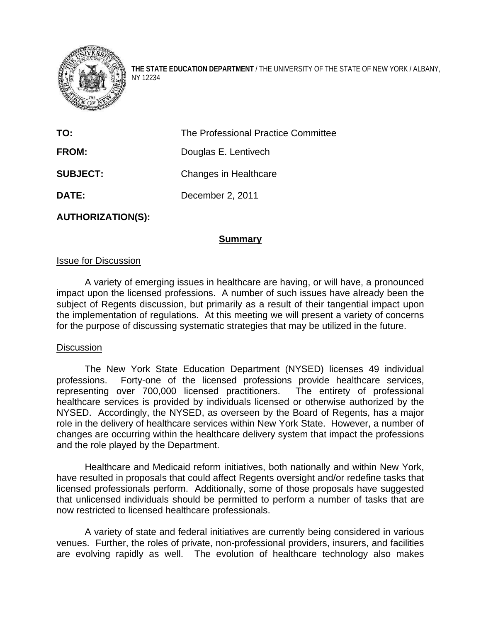

**THE STATE EDUCATION DEPARTMENT** / THE UNIVERSITY OF THE STATE OF NEW YORK / ALBANY, NY 12234

| TO:             | The Professional Practice Committee |
|-----------------|-------------------------------------|
| <b>FROM:</b>    | Douglas E. Lentivech                |
| <b>SUBJECT:</b> | Changes in Healthcare               |
| DATE:           | December 2, 2011                    |
|                 |                                     |

**AUTHORIZATION(S):** 

## **Summary**

## Issue for Discussion

A variety of emerging issues in healthcare are having, or will have, a pronounced impact upon the licensed professions. A number of such issues have already been the subject of Regents discussion, but primarily as a result of their tangential impact upon the implementation of regulations. At this meeting we will present a variety of concerns for the purpose of discussing systematic strategies that may be utilized in the future.

## **Discussion**

 The New York State Education Department (NYSED) licenses 49 individual professions. Forty-one of the licensed professions provide healthcare services, representing over 700,000 licensed practitioners. The entirety of professional healthcare services is provided by individuals licensed or otherwise authorized by the NYSED. Accordingly, the NYSED, as overseen by the Board of Regents, has a major role in the delivery of healthcare services within New York State. However, a number of changes are occurring within the healthcare delivery system that impact the professions and the role played by the Department.

Healthcare and Medicaid reform initiatives, both nationally and within New York, have resulted in proposals that could affect Regents oversight and/or redefine tasks that licensed professionals perform. Additionally, some of those proposals have suggested that unlicensed individuals should be permitted to perform a number of tasks that are now restricted to licensed healthcare professionals.

 A variety of state and federal initiatives are currently being considered in various venues. Further, the roles of private, non-professional providers, insurers, and facilities are evolving rapidly as well. The evolution of healthcare technology also makes